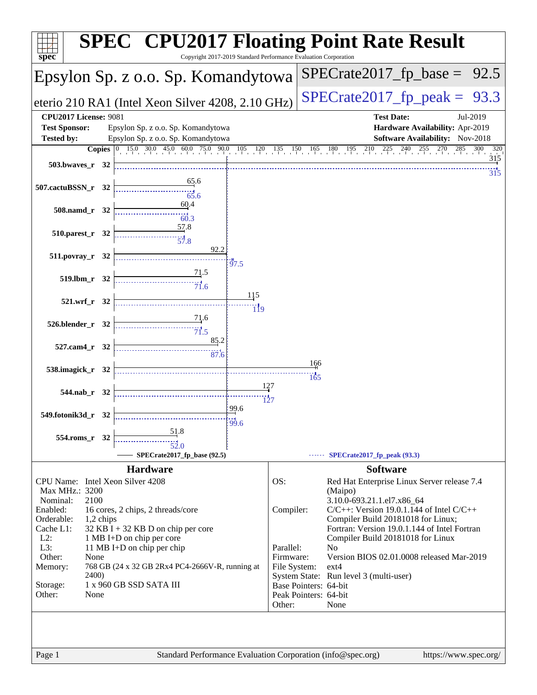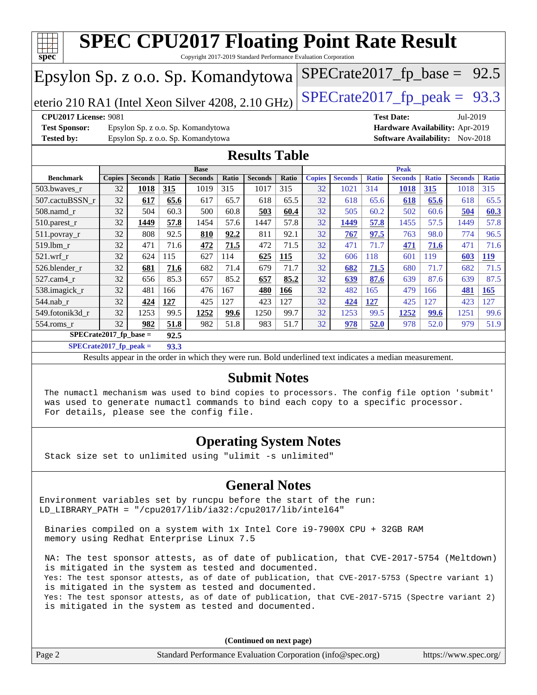

**[SPECrate2017\\_fp\\_peak =](http://www.spec.org/auto/cpu2017/Docs/result-fields.html#SPECrate2017fppeak) 93.3**

Results appear in the [order in which they were run.](http://www.spec.org/auto/cpu2017/Docs/result-fields.html#RunOrder) Bold underlined text [indicates a median measurement.](http://www.spec.org/auto/cpu2017/Docs/result-fields.html#Median)

### **[Submit Notes](http://www.spec.org/auto/cpu2017/Docs/result-fields.html#SubmitNotes)**

 The numactl mechanism was used to bind copies to processors. The config file option 'submit' was used to generate numactl commands to bind each copy to a specific processor. For details, please see the config file.

### **[Operating System Notes](http://www.spec.org/auto/cpu2017/Docs/result-fields.html#OperatingSystemNotes)**

Stack size set to unlimited using "ulimit -s unlimited"

### **[General Notes](http://www.spec.org/auto/cpu2017/Docs/result-fields.html#GeneralNotes)**

Environment variables set by runcpu before the start of the run: LD\_LIBRARY\_PATH = "/cpu2017/lib/ia32:/cpu2017/lib/intel64"

 Binaries compiled on a system with 1x Intel Core i9-7900X CPU + 32GB RAM memory using Redhat Enterprise Linux 7.5

 NA: The test sponsor attests, as of date of publication, that CVE-2017-5754 (Meltdown) is mitigated in the system as tested and documented. Yes: The test sponsor attests, as of date of publication, that CVE-2017-5753 (Spectre variant 1) is mitigated in the system as tested and documented. Yes: The test sponsor attests, as of date of publication, that CVE-2017-5715 (Spectre variant 2) is mitigated in the system as tested and documented.

**(Continued on next page)**

|        | $($ continued on noise page/                                |                       |
|--------|-------------------------------------------------------------|-----------------------|
| Page 2 | Standard Performance Evaluation Corporation (info@spec.org) | https://www.spec.org/ |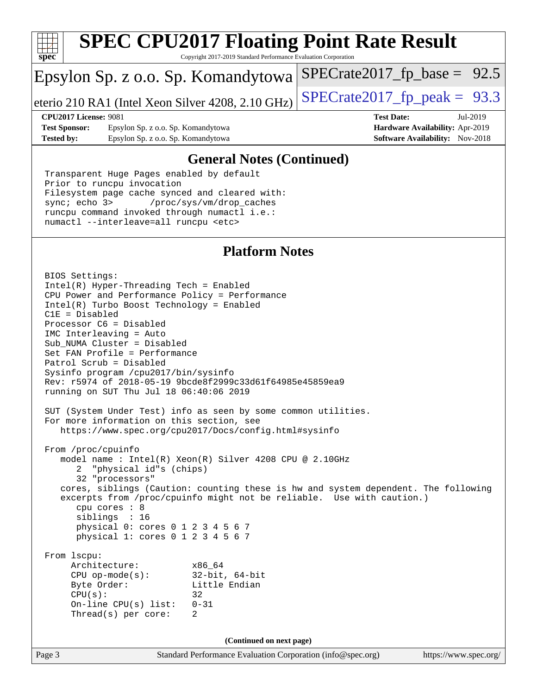

Copyright 2017-2019 Standard Performance Evaluation Corporation

## Epsylon Sp. z o.o. Sp. Komandytowa

eterio 210 RA1 (Intel Xeon Silver 4208, 2.10 GHz)  $\left|$  SPECrate 2017 fp peak = 93.3

 $SPECTate2017_fp\_base = 92.5$ 

**[Test Sponsor:](http://www.spec.org/auto/cpu2017/Docs/result-fields.html#TestSponsor)** Epsylon Sp. z o.o. Sp. Komandytowa **[Hardware Availability:](http://www.spec.org/auto/cpu2017/Docs/result-fields.html#HardwareAvailability)** Apr-2019 **[Tested by:](http://www.spec.org/auto/cpu2017/Docs/result-fields.html#Testedby)** Epsylon Sp. z o.o. Sp. Komandytowa **[Software Availability:](http://www.spec.org/auto/cpu2017/Docs/result-fields.html#SoftwareAvailability)** Nov-2018

**[CPU2017 License:](http://www.spec.org/auto/cpu2017/Docs/result-fields.html#CPU2017License)** 9081 **[Test Date:](http://www.spec.org/auto/cpu2017/Docs/result-fields.html#TestDate)** Jul-2019

### **[General Notes \(Continued\)](http://www.spec.org/auto/cpu2017/Docs/result-fields.html#GeneralNotes)**

 Transparent Huge Pages enabled by default Prior to runcpu invocation Filesystem page cache synced and cleared with: sync; echo 3> /proc/sys/vm/drop\_caches runcpu command invoked through numactl i.e.: numactl --interleave=all runcpu <etc>

### **[Platform Notes](http://www.spec.org/auto/cpu2017/Docs/result-fields.html#PlatformNotes)**

Page 3 Standard Performance Evaluation Corporation [\(info@spec.org\)](mailto:info@spec.org) <https://www.spec.org/> BIOS Settings: Intel(R) Hyper-Threading Tech = Enabled CPU Power and Performance Policy = Performance Intel(R) Turbo Boost Technology = Enabled C1E = Disabled Processor C6 = Disabled IMC Interleaving = Auto Sub\_NUMA Cluster = Disabled Set FAN Profile = Performance Patrol Scrub = Disabled Sysinfo program /cpu2017/bin/sysinfo Rev: r5974 of 2018-05-19 9bcde8f2999c33d61f64985e45859ea9 running on SUT Thu Jul 18 06:40:06 2019 SUT (System Under Test) info as seen by some common utilities. For more information on this section, see <https://www.spec.org/cpu2017/Docs/config.html#sysinfo> From /proc/cpuinfo model name : Intel(R) Xeon(R) Silver 4208 CPU @ 2.10GHz 2 "physical id"s (chips) 32 "processors" cores, siblings (Caution: counting these is hw and system dependent. The following excerpts from /proc/cpuinfo might not be reliable. Use with caution.) cpu cores : 8 siblings : 16 physical 0: cores 0 1 2 3 4 5 6 7 physical 1: cores 0 1 2 3 4 5 6 7 From lscpu: Architecture: x86\_64 CPU op-mode(s): 32-bit, 64-bit Byte Order: Little Endian  $CPU(s):$  32 On-line CPU(s) list: 0-31 Thread(s) per core: 2 **(Continued on next page)**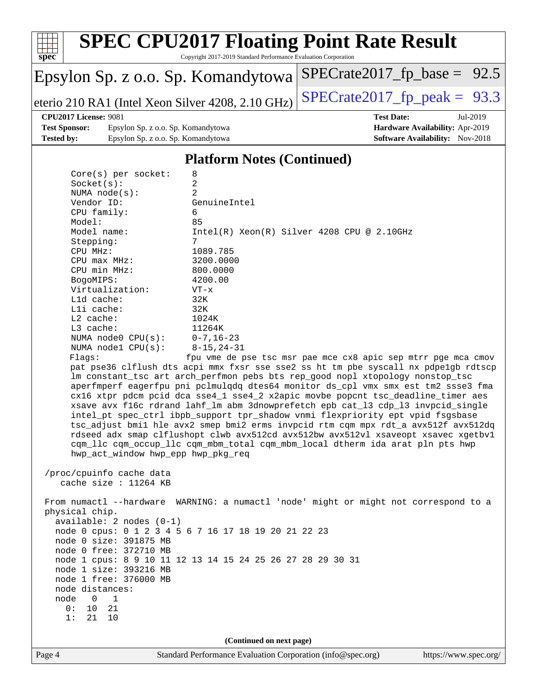

Copyright 2017-2019 Standard Performance Evaluation Corporation

## Epsylon Sp. z o.o. Sp. Komandytowa

eterio 210 RA1 (Intel Xeon Silver 4208, 2.10 GHz) SPECrate  $2017$  fp peak = 93.3

 $SPECTate2017_fp\_base = 92.5$ 

#### **[CPU2017 License:](http://www.spec.org/auto/cpu2017/Docs/result-fields.html#CPU2017License)** 9081 **[Test Date:](http://www.spec.org/auto/cpu2017/Docs/result-fields.html#TestDate)** Jul-2019

**[Test Sponsor:](http://www.spec.org/auto/cpu2017/Docs/result-fields.html#TestSponsor)** Epsylon Sp. z o.o. Sp. Komandytowa **[Hardware Availability:](http://www.spec.org/auto/cpu2017/Docs/result-fields.html#HardwareAvailability)** Apr-2019 **[Tested by:](http://www.spec.org/auto/cpu2017/Docs/result-fields.html#Testedby)** Epsylon Sp. z o.o. Sp. Komandytowa **[Software Availability:](http://www.spec.org/auto/cpu2017/Docs/result-fields.html#SoftwareAvailability)** Nov-2018

### **[Platform Notes \(Continued\)](http://www.spec.org/auto/cpu2017/Docs/result-fields.html#PlatformNotes)**

| $Core(s)$ per socket:  | 8                                                                                   |
|------------------------|-------------------------------------------------------------------------------------|
| Socket(s):             | $\overline{a}$                                                                      |
| NUMA $node(s):$        | $\overline{a}$                                                                      |
| Vendor ID:             | GenuineIntel                                                                        |
| CPU family:            | 6                                                                                   |
| Model:                 | 85                                                                                  |
| Model name:            | $Intel(R)$ Xeon $(R)$ Silver 4208 CPU @ 2.10GHz                                     |
| Stepping:              | 7                                                                                   |
| CPU MHz:               | 1089.785                                                                            |
| $CPU$ max $MHz$ :      | 3200.0000                                                                           |
| CPU min MHz:           | 800.0000                                                                            |
| BogoMIPS:              | 4200.00                                                                             |
| Virtualization:        | $VT - x$                                                                            |
| $L1d$ cache:           | 32K                                                                                 |
| $L1i$ cache:           | 32K                                                                                 |
| $L2$ cache:            | 1024K                                                                               |
| $L3$ cache:            | 11264K                                                                              |
| NUMA node0 CPU(s):     | $0 - 7$ , 16–23                                                                     |
| NUMA $node1$ $CPU(s):$ | $8 - 15, 24 - 31$                                                                   |
| Flaqs:                 | fpu vme de pse tsc msr pae mce cx8 apic sep mtrr pqe mca cmov                       |
|                        | pat pse36 clflush dts acpi mmx fxsr sse sse2 ss ht tm pbe syscall nx pdpe1qb rdtscp |
|                        | Im constant_tsc art arch_perfmon pebs bts rep_good nopl xtopology nonstop_tsc       |
|                        | aperfmperf eagerfpu pni pclmulqdq dtes64 monitor ds_cpl vmx smx est tm2 ssse3 fma   |
|                        | cx16 xtpr pdcm pcid dca sse4_1 sse4_2 x2apic movbe popcnt tsc_deadline_timer aes    |
|                        | xsave avx f16c rdrand lahf_lm abm 3dnowprefetch epb cat_13 cdp_13 invpcid_single    |
|                        | intel_pt spec_ctrl ibpb_support tpr_shadow vnmi flexpriority ept vpid fsgsbase      |
|                        | tsc_adjust bmil hle avx2 smep bmi2 erms invpcid rtm cqm mpx rdt_a avx512f avx512dq  |

 rdseed adx smap clflushopt clwb avx512cd avx512bw avx512vl xsaveopt xsavec xgetbv1 cqm\_llc cqm\_occup\_llc cqm\_mbm\_total cqm\_mbm\_local dtherm ida arat pln pts hwp hwp\_act\_window hwp\_epp hwp\_pkg\_req

 /proc/cpuinfo cache data cache size : 11264 KB

 From numactl --hardware WARNING: a numactl 'node' might or might not correspond to a physical chip. available: 2 nodes (0-1)

 node 0 cpus: 0 1 2 3 4 5 6 7 16 17 18 19 20 21 22 23 node 0 size: 391875 MB node 0 free: 372710 MB node 1 cpus: 8 9 10 11 12 13 14 15 24 25 26 27 28 29 30 31 node 1 size: 393216 MB

node 1 free: 376000 MB

 node distances: node 0 1

> 0: 10 21 1: 21 10

> > **(Continued on next page)**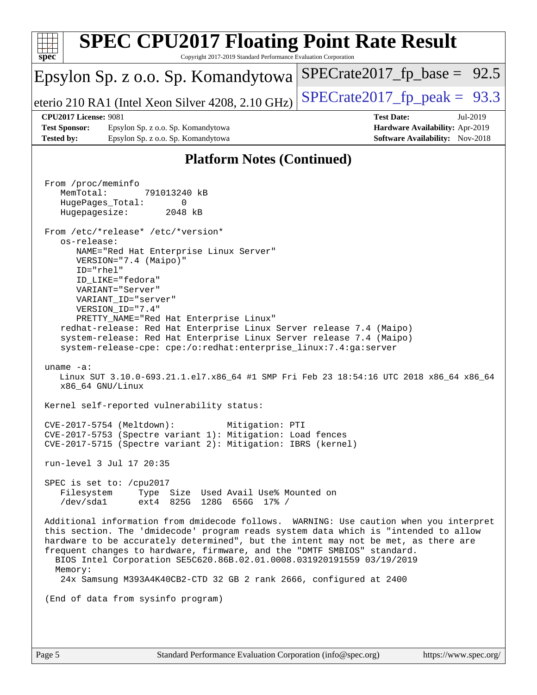| $spec^*$                                  | <b>SPEC CPU2017 Floating Point Rate Result</b><br>Copyright 2017-2019 Standard Performance Evaluation Corporation                                                                                                                                                                                                                                                                                                                                                                                                                                                                                                                                                                                                                                                                                                                                                                                                                                                                                                                                                                                                                                                                                                                                                                                                                                                                                                                                                                                                                                                                                                                                            |                                                                                                            |
|-------------------------------------------|--------------------------------------------------------------------------------------------------------------------------------------------------------------------------------------------------------------------------------------------------------------------------------------------------------------------------------------------------------------------------------------------------------------------------------------------------------------------------------------------------------------------------------------------------------------------------------------------------------------------------------------------------------------------------------------------------------------------------------------------------------------------------------------------------------------------------------------------------------------------------------------------------------------------------------------------------------------------------------------------------------------------------------------------------------------------------------------------------------------------------------------------------------------------------------------------------------------------------------------------------------------------------------------------------------------------------------------------------------------------------------------------------------------------------------------------------------------------------------------------------------------------------------------------------------------------------------------------------------------------------------------------------------------|------------------------------------------------------------------------------------------------------------|
|                                           | Epsylon Sp. z o.o. Sp. Komandytowa                                                                                                                                                                                                                                                                                                                                                                                                                                                                                                                                                                                                                                                                                                                                                                                                                                                                                                                                                                                                                                                                                                                                                                                                                                                                                                                                                                                                                                                                                                                                                                                                                           | $SPECrate2017_fp\_base = 92.5$                                                                             |
|                                           | eterio 210 RA1 (Intel Xeon Silver 4208, 2.10 GHz)                                                                                                                                                                                                                                                                                                                                                                                                                                                                                                                                                                                                                                                                                                                                                                                                                                                                                                                                                                                                                                                                                                                                                                                                                                                                                                                                                                                                                                                                                                                                                                                                            | $SPECTate2017_fp\_peak = 93.3$                                                                             |
| <b>Test Sponsor:</b><br><b>Tested by:</b> | <b>CPU2017 License: 9081</b><br>Epsylon Sp. z o.o. Sp. Komandytowa<br>Epsylon Sp. z o.o. Sp. Komandytowa                                                                                                                                                                                                                                                                                                                                                                                                                                                                                                                                                                                                                                                                                                                                                                                                                                                                                                                                                                                                                                                                                                                                                                                                                                                                                                                                                                                                                                                                                                                                                     | <b>Test Date:</b><br>Jul-2019<br>Hardware Availability: Apr-2019<br><b>Software Availability:</b> Nov-2018 |
|                                           | <b>Platform Notes (Continued)</b>                                                                                                                                                                                                                                                                                                                                                                                                                                                                                                                                                                                                                                                                                                                                                                                                                                                                                                                                                                                                                                                                                                                                                                                                                                                                                                                                                                                                                                                                                                                                                                                                                            |                                                                                                            |
|                                           | From /proc/meminfo<br>MemTotal:<br>791013240 kB<br>HugePages_Total:<br>0<br>Hugepagesize:<br>2048 kB<br>From /etc/*release* /etc/*version*<br>os-release:<br>NAME="Red Hat Enterprise Linux Server"<br>VERSION="7.4 (Maipo)"<br>ID="rhel"<br>ID_LIKE="fedora"<br>VARIANT="Server"<br>VARIANT_ID="server"<br>VERSION_ID="7.4"<br>PRETTY_NAME="Red Hat Enterprise Linux"<br>redhat-release: Red Hat Enterprise Linux Server release 7.4 (Maipo)<br>system-release: Red Hat Enterprise Linux Server release 7.4 (Maipo)<br>system-release-cpe: cpe:/o:redhat:enterprise_linux:7.4:ga:server<br>uname $-a$ :<br>Linux SUT 3.10.0-693.21.1.el7.x86_64 #1 SMP Fri Feb 23 18:54:16 UTC 2018 x86_64 x86_64<br>x86_64 GNU/Linux<br>Kernel self-reported vulnerability status:<br>CVE-2017-5754 (Meltdown):<br>Mitigation: PTI<br>CVE-2017-5753 (Spectre variant 1): Mitigation: Load fences<br>CVE-2017-5715 (Spectre variant 2): Mitigation: IBRS (kernel)<br>run-level 3 Jul 17 20:35<br>SPEC is set to: /cpu2017<br>Filesystem<br>Type Size Used Avail Use% Mounted on<br>/dev/sda1<br>ext4 825G 128G 656G 17% /<br>Additional information from dmidecode follows. WARNING: Use caution when you interpret<br>this section. The 'dmidecode' program reads system data which is "intended to allow<br>hardware to be accurately determined", but the intent may not be met, as there are<br>frequent changes to hardware, firmware, and the "DMTF SMBIOS" standard.<br>BIOS Intel Corporation SE5C620.86B.02.01.0008.031920191559 03/19/2019<br>Memory:<br>24x Samsung M393A4K40CB2-CTD 32 GB 2 rank 2666, configured at 2400<br>(End of data from sysinfo program) |                                                                                                            |
|                                           |                                                                                                                                                                                                                                                                                                                                                                                                                                                                                                                                                                                                                                                                                                                                                                                                                                                                                                                                                                                                                                                                                                                                                                                                                                                                                                                                                                                                                                                                                                                                                                                                                                                              |                                                                                                            |
|                                           |                                                                                                                                                                                                                                                                                                                                                                                                                                                                                                                                                                                                                                                                                                                                                                                                                                                                                                                                                                                                                                                                                                                                                                                                                                                                                                                                                                                                                                                                                                                                                                                                                                                              |                                                                                                            |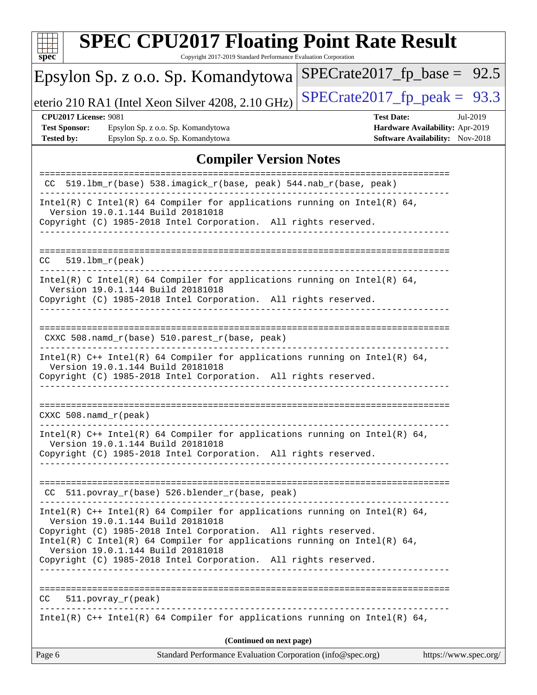| S | U | Æ | i. |  |
|---|---|---|----|--|

Copyright 2017-2019 Standard Performance Evaluation Corporation

## Epsylon Sp. z o.o. Sp. Komandytowa

eterio 210 RA1 (Intel Xeon Silver 4208, 2.10 GHz) [SPECrate2017\\_fp\\_peak =](http://www.spec.org/auto/cpu2017/Docs/result-fields.html#SPECrate2017fppeak)  $93.3$ 

 $SPECrate2017_fp\_base = 92.5$ 

#### **[CPU2017 License:](http://www.spec.org/auto/cpu2017/Docs/result-fields.html#CPU2017License)** 9081 **[Test Date:](http://www.spec.org/auto/cpu2017/Docs/result-fields.html#TestDate)** Jul-2019

**[Test Sponsor:](http://www.spec.org/auto/cpu2017/Docs/result-fields.html#TestSponsor)** Epsylon Sp. z o.o. Sp. Komandytowa **[Hardware Availability:](http://www.spec.org/auto/cpu2017/Docs/result-fields.html#HardwareAvailability)** Apr-2019 **[Tested by:](http://www.spec.org/auto/cpu2017/Docs/result-fields.html#Testedby)** Epsylon Sp. z o.o. Sp. Komandytowa **[Software Availability:](http://www.spec.org/auto/cpu2017/Docs/result-fields.html#SoftwareAvailability)** Nov-2018

### **[Compiler Version Notes](http://www.spec.org/auto/cpu2017/Docs/result-fields.html#CompilerVersionNotes)**

| CC 519.1bm_r(base) 538.imagick_r(base, peak) 544.nab_r(base, peak)<br>Intel(R) C Intel(R) 64 Compiler for applications running on Intel(R) 64,<br>Version 19.0.1.144 Build 20181018<br>Copyright (C) 1985-2018 Intel Corporation. All rights reserved.<br>----------------------<br>$519.1bm_r(peak)$<br>CC<br>Intel(R) C Intel(R) 64 Compiler for applications running on Intel(R) 64,<br>Version 19.0.1.144 Build 20181018<br>Copyright (C) 1985-2018 Intel Corporation. All rights reserved.<br>CXXC 508.namd_r(base) 510.parest_r(base, peak)<br>Intel(R) $C++$ Intel(R) 64 Compiler for applications running on Intel(R) 64,<br>Version 19.0.1.144 Build 20181018<br>Copyright (C) 1985-2018 Intel Corporation. All rights reserved.<br>$CXXC 508.namd_r (peak)$<br>Intel(R) $C++$ Intel(R) 64 Compiler for applications running on Intel(R) 64,<br>Version 19.0.1.144 Build 20181018<br>Copyright (C) 1985-2018 Intel Corporation. All rights reserved.<br>CC 511.povray_r(base) 526.blender_r(base, peak)<br>Intel(R) $C++$ Intel(R) 64 Compiler for applications running on Intel(R) 64,<br>Version 19.0.1.144 Build 20181018<br>Copyright (C) 1985-2018 Intel Corporation. All rights reserved.<br>Intel(R) C Intel(R) 64 Compiler for applications running on Intel(R) 64,<br>Version 19.0.1.144 Build 20181018<br>Copyright (C) 1985-2018 Intel Corporation. All rights reserved.<br>$511. povray_r (peak)$<br>CC<br>_______________________________<br>Intel(R) $C++$ Intel(R) 64 Compiler for applications running on Intel(R) 64,<br>(Continued on next page) | Standard Performance Evaluation Corporation (info@spec.org)<br>Page 6<br>https://www.spec.org/ |
|-----------------------------------------------------------------------------------------------------------------------------------------------------------------------------------------------------------------------------------------------------------------------------------------------------------------------------------------------------------------------------------------------------------------------------------------------------------------------------------------------------------------------------------------------------------------------------------------------------------------------------------------------------------------------------------------------------------------------------------------------------------------------------------------------------------------------------------------------------------------------------------------------------------------------------------------------------------------------------------------------------------------------------------------------------------------------------------------------------------------------------------------------------------------------------------------------------------------------------------------------------------------------------------------------------------------------------------------------------------------------------------------------------------------------------------------------------------------------------------------------------------------------------------------------------------------------------|------------------------------------------------------------------------------------------------|
|                                                                                                                                                                                                                                                                                                                                                                                                                                                                                                                                                                                                                                                                                                                                                                                                                                                                                                                                                                                                                                                                                                                                                                                                                                                                                                                                                                                                                                                                                                                                                                             |                                                                                                |
|                                                                                                                                                                                                                                                                                                                                                                                                                                                                                                                                                                                                                                                                                                                                                                                                                                                                                                                                                                                                                                                                                                                                                                                                                                                                                                                                                                                                                                                                                                                                                                             |                                                                                                |
|                                                                                                                                                                                                                                                                                                                                                                                                                                                                                                                                                                                                                                                                                                                                                                                                                                                                                                                                                                                                                                                                                                                                                                                                                                                                                                                                                                                                                                                                                                                                                                             |                                                                                                |
|                                                                                                                                                                                                                                                                                                                                                                                                                                                                                                                                                                                                                                                                                                                                                                                                                                                                                                                                                                                                                                                                                                                                                                                                                                                                                                                                                                                                                                                                                                                                                                             |                                                                                                |
|                                                                                                                                                                                                                                                                                                                                                                                                                                                                                                                                                                                                                                                                                                                                                                                                                                                                                                                                                                                                                                                                                                                                                                                                                                                                                                                                                                                                                                                                                                                                                                             |                                                                                                |
|                                                                                                                                                                                                                                                                                                                                                                                                                                                                                                                                                                                                                                                                                                                                                                                                                                                                                                                                                                                                                                                                                                                                                                                                                                                                                                                                                                                                                                                                                                                                                                             |                                                                                                |
|                                                                                                                                                                                                                                                                                                                                                                                                                                                                                                                                                                                                                                                                                                                                                                                                                                                                                                                                                                                                                                                                                                                                                                                                                                                                                                                                                                                                                                                                                                                                                                             |                                                                                                |
|                                                                                                                                                                                                                                                                                                                                                                                                                                                                                                                                                                                                                                                                                                                                                                                                                                                                                                                                                                                                                                                                                                                                                                                                                                                                                                                                                                                                                                                                                                                                                                             |                                                                                                |
|                                                                                                                                                                                                                                                                                                                                                                                                                                                                                                                                                                                                                                                                                                                                                                                                                                                                                                                                                                                                                                                                                                                                                                                                                                                                                                                                                                                                                                                                                                                                                                             |                                                                                                |
|                                                                                                                                                                                                                                                                                                                                                                                                                                                                                                                                                                                                                                                                                                                                                                                                                                                                                                                                                                                                                                                                                                                                                                                                                                                                                                                                                                                                                                                                                                                                                                             |                                                                                                |
|                                                                                                                                                                                                                                                                                                                                                                                                                                                                                                                                                                                                                                                                                                                                                                                                                                                                                                                                                                                                                                                                                                                                                                                                                                                                                                                                                                                                                                                                                                                                                                             |                                                                                                |
|                                                                                                                                                                                                                                                                                                                                                                                                                                                                                                                                                                                                                                                                                                                                                                                                                                                                                                                                                                                                                                                                                                                                                                                                                                                                                                                                                                                                                                                                                                                                                                             |                                                                                                |
|                                                                                                                                                                                                                                                                                                                                                                                                                                                                                                                                                                                                                                                                                                                                                                                                                                                                                                                                                                                                                                                                                                                                                                                                                                                                                                                                                                                                                                                                                                                                                                             |                                                                                                |
|                                                                                                                                                                                                                                                                                                                                                                                                                                                                                                                                                                                                                                                                                                                                                                                                                                                                                                                                                                                                                                                                                                                                                                                                                                                                                                                                                                                                                                                                                                                                                                             |                                                                                                |
|                                                                                                                                                                                                                                                                                                                                                                                                                                                                                                                                                                                                                                                                                                                                                                                                                                                                                                                                                                                                                                                                                                                                                                                                                                                                                                                                                                                                                                                                                                                                                                             |                                                                                                |
|                                                                                                                                                                                                                                                                                                                                                                                                                                                                                                                                                                                                                                                                                                                                                                                                                                                                                                                                                                                                                                                                                                                                                                                                                                                                                                                                                                                                                                                                                                                                                                             |                                                                                                |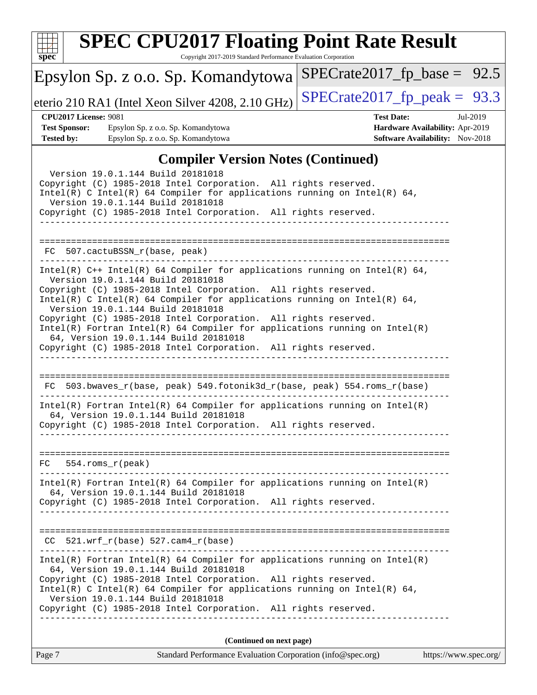

#### Copyright 2017-2019 Standard Performance Evaluation Corporation Epsylon Sp. z o.o. Sp. Komandytowa eterio 210 RA1 (Intel Xeon Silver 4208, 2.10 GHz)  $\left|$  [SPECrate2017\\_fp\\_peak =](http://www.spec.org/auto/cpu2017/Docs/result-fields.html#SPECrate2017fppeak) 93.3  $SPECTate2017_fp\_base = 92.5$ **[CPU2017 License:](http://www.spec.org/auto/cpu2017/Docs/result-fields.html#CPU2017License)** 9081 **[Test Date:](http://www.spec.org/auto/cpu2017/Docs/result-fields.html#TestDate)** Jul-2019 **[Test Sponsor:](http://www.spec.org/auto/cpu2017/Docs/result-fields.html#TestSponsor)** Epsylon Sp. z o.o. Sp. Komandytowa **[Hardware Availability:](http://www.spec.org/auto/cpu2017/Docs/result-fields.html#HardwareAvailability)** Apr-2019 **[Tested by:](http://www.spec.org/auto/cpu2017/Docs/result-fields.html#Testedby)** Epsylon Sp. z o.o. Sp. Komandytowa **[Software Availability:](http://www.spec.org/auto/cpu2017/Docs/result-fields.html#SoftwareAvailability)** Nov-2018 **[Compiler Version Notes \(Continued\)](http://www.spec.org/auto/cpu2017/Docs/result-fields.html#CompilerVersionNotes)** Version 19.0.1.144 Build 20181018 Copyright (C) 1985-2018 Intel Corporation. All rights reserved. Intel(R) C Intel(R) 64 Compiler for applications running on Intel(R) 64, Version 19.0.1.144 Build 20181018 Copyright (C) 1985-2018 Intel Corporation. All rights reserved. ------------------------------------------------------------------------------ ============================================================================== FC 507.cactuBSSN\_r(base, peak) ------------------------------------------------------------------------------ Intel(R) C++ Intel(R) 64 Compiler for applications running on Intel(R) 64, Version 19.0.1.144 Build 20181018 Copyright (C) 1985-2018 Intel Corporation. All rights reserved. Intel(R) C Intel(R) 64 Compiler for applications running on Intel(R)  $64$ , Version 19.0.1.144 Build 20181018 Copyright (C) 1985-2018 Intel Corporation. All rights reserved. Intel(R) Fortran Intel(R) 64 Compiler for applications running on Intel(R) 64, Version 19.0.1.144 Build 20181018 Copyright (C) 1985-2018 Intel Corporation. All rights reserved. ------------------------------------------------------------------------------ ============================================================================== FC 503.bwaves\_r(base, peak) 549.fotonik3d\_r(base, peak) 554.roms\_r(base) ------------------------------------------------------------------------------ Intel(R) Fortran Intel(R) 64 Compiler for applications running on Intel(R) 64, Version 19.0.1.144 Build 20181018 Copyright (C) 1985-2018 Intel Corporation. All rights reserved. ------------------------------------------------------------------------------ ============================================================================== FC 554.roms\_r(peak) ------------------------------------------------------------------------------ Intel(R) Fortran Intel(R) 64 Compiler for applications running on Intel(R) 64, Version 19.0.1.144 Build 20181018 Copyright (C) 1985-2018 Intel Corporation. All rights reserved. ------------------------------------------------------------------------------ ============================================================================== CC 521.wrf\_r(base) 527.cam4\_r(base) ------------------------------------------------------------------------------ Intel(R) Fortran Intel(R) 64 Compiler for applications running on Intel(R) 64, Version 19.0.1.144 Build 20181018 Copyright (C) 1985-2018 Intel Corporation. All rights reserved. Intel(R) C Intel(R) 64 Compiler for applications running on Intel(R)  $64$ , Version 19.0.1.144 Build 20181018 Copyright (C) 1985-2018 Intel Corporation. All rights reserved. ------------------------------------------------------------------------------ **(Continued on next page)**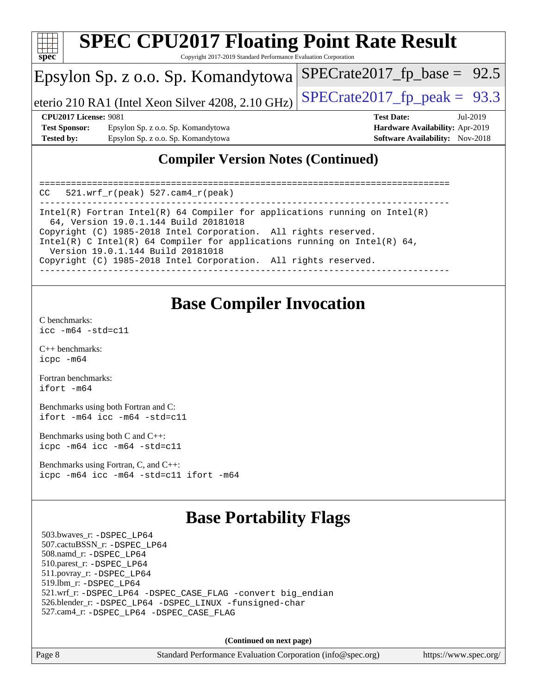

### **[Compiler Version Notes \(Continued\)](http://www.spec.org/auto/cpu2017/Docs/result-fields.html#CompilerVersionNotes)**

============================================================================== CC 521.wrf\_r(peak) 527.cam4\_r(peak) ------------------------------------------------------------------------------ Intel(R) Fortran Intel(R) 64 Compiler for applications running on Intel(R) 64, Version 19.0.1.144 Build 20181018 Copyright (C) 1985-2018 Intel Corporation. All rights reserved. Intel(R) C Intel(R) 64 Compiler for applications running on Intel(R)  $64$ , Version 19.0.1.144 Build 20181018 Copyright (C) 1985-2018 Intel Corporation. All rights reserved. ------------------------------------------------------------------------------

## **[Base Compiler Invocation](http://www.spec.org/auto/cpu2017/Docs/result-fields.html#BaseCompilerInvocation)**

[C benchmarks](http://www.spec.org/auto/cpu2017/Docs/result-fields.html#Cbenchmarks): [icc -m64 -std=c11](http://www.spec.org/cpu2017/results/res2019q3/cpu2017-20190722-16236.flags.html#user_CCbase_intel_icc_64bit_c11_33ee0cdaae7deeeab2a9725423ba97205ce30f63b9926c2519791662299b76a0318f32ddfffdc46587804de3178b4f9328c46fa7c2b0cd779d7a61945c91cd35)

[C++ benchmarks:](http://www.spec.org/auto/cpu2017/Docs/result-fields.html#CXXbenchmarks) [icpc -m64](http://www.spec.org/cpu2017/results/res2019q3/cpu2017-20190722-16236.flags.html#user_CXXbase_intel_icpc_64bit_4ecb2543ae3f1412ef961e0650ca070fec7b7afdcd6ed48761b84423119d1bf6bdf5cad15b44d48e7256388bc77273b966e5eb805aefd121eb22e9299b2ec9d9)

[Fortran benchmarks](http://www.spec.org/auto/cpu2017/Docs/result-fields.html#Fortranbenchmarks): [ifort -m64](http://www.spec.org/cpu2017/results/res2019q3/cpu2017-20190722-16236.flags.html#user_FCbase_intel_ifort_64bit_24f2bb282fbaeffd6157abe4f878425411749daecae9a33200eee2bee2fe76f3b89351d69a8130dd5949958ce389cf37ff59a95e7a40d588e8d3a57e0c3fd751)

[Benchmarks using both Fortran and C](http://www.spec.org/auto/cpu2017/Docs/result-fields.html#BenchmarksusingbothFortranandC): [ifort -m64](http://www.spec.org/cpu2017/results/res2019q3/cpu2017-20190722-16236.flags.html#user_CC_FCbase_intel_ifort_64bit_24f2bb282fbaeffd6157abe4f878425411749daecae9a33200eee2bee2fe76f3b89351d69a8130dd5949958ce389cf37ff59a95e7a40d588e8d3a57e0c3fd751) [icc -m64 -std=c11](http://www.spec.org/cpu2017/results/res2019q3/cpu2017-20190722-16236.flags.html#user_CC_FCbase_intel_icc_64bit_c11_33ee0cdaae7deeeab2a9725423ba97205ce30f63b9926c2519791662299b76a0318f32ddfffdc46587804de3178b4f9328c46fa7c2b0cd779d7a61945c91cd35)

[Benchmarks using both C and C++](http://www.spec.org/auto/cpu2017/Docs/result-fields.html#BenchmarksusingbothCandCXX): [icpc -m64](http://www.spec.org/cpu2017/results/res2019q3/cpu2017-20190722-16236.flags.html#user_CC_CXXbase_intel_icpc_64bit_4ecb2543ae3f1412ef961e0650ca070fec7b7afdcd6ed48761b84423119d1bf6bdf5cad15b44d48e7256388bc77273b966e5eb805aefd121eb22e9299b2ec9d9) [icc -m64 -std=c11](http://www.spec.org/cpu2017/results/res2019q3/cpu2017-20190722-16236.flags.html#user_CC_CXXbase_intel_icc_64bit_c11_33ee0cdaae7deeeab2a9725423ba97205ce30f63b9926c2519791662299b76a0318f32ddfffdc46587804de3178b4f9328c46fa7c2b0cd779d7a61945c91cd35)

[Benchmarks using Fortran, C, and C++:](http://www.spec.org/auto/cpu2017/Docs/result-fields.html#BenchmarksusingFortranCandCXX) [icpc -m64](http://www.spec.org/cpu2017/results/res2019q3/cpu2017-20190722-16236.flags.html#user_CC_CXX_FCbase_intel_icpc_64bit_4ecb2543ae3f1412ef961e0650ca070fec7b7afdcd6ed48761b84423119d1bf6bdf5cad15b44d48e7256388bc77273b966e5eb805aefd121eb22e9299b2ec9d9) [icc -m64 -std=c11](http://www.spec.org/cpu2017/results/res2019q3/cpu2017-20190722-16236.flags.html#user_CC_CXX_FCbase_intel_icc_64bit_c11_33ee0cdaae7deeeab2a9725423ba97205ce30f63b9926c2519791662299b76a0318f32ddfffdc46587804de3178b4f9328c46fa7c2b0cd779d7a61945c91cd35) [ifort -m64](http://www.spec.org/cpu2017/results/res2019q3/cpu2017-20190722-16236.flags.html#user_CC_CXX_FCbase_intel_ifort_64bit_24f2bb282fbaeffd6157abe4f878425411749daecae9a33200eee2bee2fe76f3b89351d69a8130dd5949958ce389cf37ff59a95e7a40d588e8d3a57e0c3fd751)

### **[Base Portability Flags](http://www.spec.org/auto/cpu2017/Docs/result-fields.html#BasePortabilityFlags)**

 503.bwaves\_r: [-DSPEC\\_LP64](http://www.spec.org/cpu2017/results/res2019q3/cpu2017-20190722-16236.flags.html#suite_basePORTABILITY503_bwaves_r_DSPEC_LP64) 507.cactuBSSN\_r: [-DSPEC\\_LP64](http://www.spec.org/cpu2017/results/res2019q3/cpu2017-20190722-16236.flags.html#suite_basePORTABILITY507_cactuBSSN_r_DSPEC_LP64) 508.namd\_r: [-DSPEC\\_LP64](http://www.spec.org/cpu2017/results/res2019q3/cpu2017-20190722-16236.flags.html#suite_basePORTABILITY508_namd_r_DSPEC_LP64) 510.parest\_r: [-DSPEC\\_LP64](http://www.spec.org/cpu2017/results/res2019q3/cpu2017-20190722-16236.flags.html#suite_basePORTABILITY510_parest_r_DSPEC_LP64) 511.povray\_r: [-DSPEC\\_LP64](http://www.spec.org/cpu2017/results/res2019q3/cpu2017-20190722-16236.flags.html#suite_basePORTABILITY511_povray_r_DSPEC_LP64) 519.lbm\_r: [-DSPEC\\_LP64](http://www.spec.org/cpu2017/results/res2019q3/cpu2017-20190722-16236.flags.html#suite_basePORTABILITY519_lbm_r_DSPEC_LP64) 521.wrf\_r: [-DSPEC\\_LP64](http://www.spec.org/cpu2017/results/res2019q3/cpu2017-20190722-16236.flags.html#suite_basePORTABILITY521_wrf_r_DSPEC_LP64) [-DSPEC\\_CASE\\_FLAG](http://www.spec.org/cpu2017/results/res2019q3/cpu2017-20190722-16236.flags.html#b521.wrf_r_baseCPORTABILITY_DSPEC_CASE_FLAG) [-convert big\\_endian](http://www.spec.org/cpu2017/results/res2019q3/cpu2017-20190722-16236.flags.html#user_baseFPORTABILITY521_wrf_r_convert_big_endian_c3194028bc08c63ac5d04de18c48ce6d347e4e562e8892b8bdbdc0214820426deb8554edfa529a3fb25a586e65a3d812c835984020483e7e73212c4d31a38223) 526.blender\_r: [-DSPEC\\_LP64](http://www.spec.org/cpu2017/results/res2019q3/cpu2017-20190722-16236.flags.html#suite_basePORTABILITY526_blender_r_DSPEC_LP64) [-DSPEC\\_LINUX](http://www.spec.org/cpu2017/results/res2019q3/cpu2017-20190722-16236.flags.html#b526.blender_r_baseCPORTABILITY_DSPEC_LINUX) [-funsigned-char](http://www.spec.org/cpu2017/results/res2019q3/cpu2017-20190722-16236.flags.html#user_baseCPORTABILITY526_blender_r_force_uchar_40c60f00ab013830e2dd6774aeded3ff59883ba5a1fc5fc14077f794d777847726e2a5858cbc7672e36e1b067e7e5c1d9a74f7176df07886a243d7cc18edfe67) 527.cam4\_r: [-DSPEC\\_LP64](http://www.spec.org/cpu2017/results/res2019q3/cpu2017-20190722-16236.flags.html#suite_basePORTABILITY527_cam4_r_DSPEC_LP64) [-DSPEC\\_CASE\\_FLAG](http://www.spec.org/cpu2017/results/res2019q3/cpu2017-20190722-16236.flags.html#b527.cam4_r_baseCPORTABILITY_DSPEC_CASE_FLAG)

**(Continued on next page)**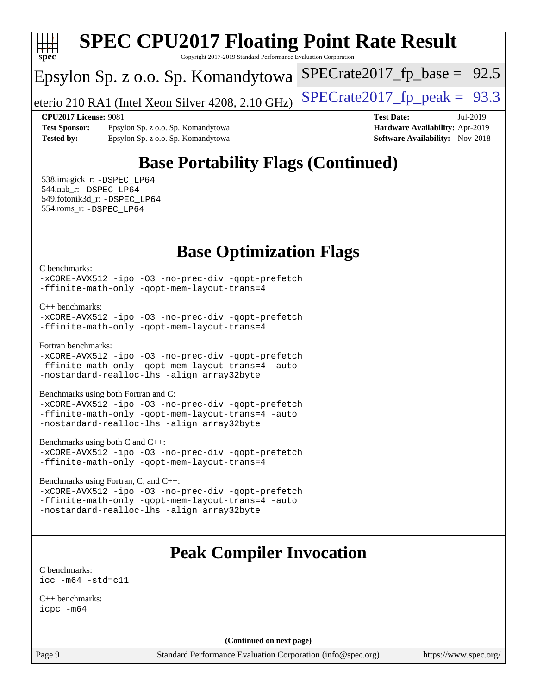

Copyright 2017-2019 Standard Performance Evaluation Corporation

## Epsylon Sp. z o.o. Sp. Komandytowa

eterio 210 RA1 (Intel Xeon Silver 4208, 2.10 GHz) SPECrate  $2017$  fp peak = 93.3

 $SPECrate2017_fp\_base = 92.5$ 

**[Test Sponsor:](http://www.spec.org/auto/cpu2017/Docs/result-fields.html#TestSponsor)** Epsylon Sp. z o.o. Sp. Komandytowa **[Hardware Availability:](http://www.spec.org/auto/cpu2017/Docs/result-fields.html#HardwareAvailability)** Apr-2019 **[Tested by:](http://www.spec.org/auto/cpu2017/Docs/result-fields.html#Testedby)** Epsylon Sp. z o.o. Sp. Komandytowa **[Software Availability:](http://www.spec.org/auto/cpu2017/Docs/result-fields.html#SoftwareAvailability)** Nov-2018

**[CPU2017 License:](http://www.spec.org/auto/cpu2017/Docs/result-fields.html#CPU2017License)** 9081 **[Test Date:](http://www.spec.org/auto/cpu2017/Docs/result-fields.html#TestDate)** Jul-2019

## **[Base Portability Flags \(Continued\)](http://www.spec.org/auto/cpu2017/Docs/result-fields.html#BasePortabilityFlags)**

 538.imagick\_r: [-DSPEC\\_LP64](http://www.spec.org/cpu2017/results/res2019q3/cpu2017-20190722-16236.flags.html#suite_basePORTABILITY538_imagick_r_DSPEC_LP64) 544.nab\_r: [-DSPEC\\_LP64](http://www.spec.org/cpu2017/results/res2019q3/cpu2017-20190722-16236.flags.html#suite_basePORTABILITY544_nab_r_DSPEC_LP64) 549.fotonik3d\_r: [-DSPEC\\_LP64](http://www.spec.org/cpu2017/results/res2019q3/cpu2017-20190722-16236.flags.html#suite_basePORTABILITY549_fotonik3d_r_DSPEC_LP64) 554.roms\_r: [-DSPEC\\_LP64](http://www.spec.org/cpu2017/results/res2019q3/cpu2017-20190722-16236.flags.html#suite_basePORTABILITY554_roms_r_DSPEC_LP64)

## **[Base Optimization Flags](http://www.spec.org/auto/cpu2017/Docs/result-fields.html#BaseOptimizationFlags)**

[C benchmarks](http://www.spec.org/auto/cpu2017/Docs/result-fields.html#Cbenchmarks):

[-xCORE-AVX512](http://www.spec.org/cpu2017/results/res2019q3/cpu2017-20190722-16236.flags.html#user_CCbase_f-xCORE-AVX512) [-ipo](http://www.spec.org/cpu2017/results/res2019q3/cpu2017-20190722-16236.flags.html#user_CCbase_f-ipo) [-O3](http://www.spec.org/cpu2017/results/res2019q3/cpu2017-20190722-16236.flags.html#user_CCbase_f-O3) [-no-prec-div](http://www.spec.org/cpu2017/results/res2019q3/cpu2017-20190722-16236.flags.html#user_CCbase_f-no-prec-div) [-qopt-prefetch](http://www.spec.org/cpu2017/results/res2019q3/cpu2017-20190722-16236.flags.html#user_CCbase_f-qopt-prefetch) [-ffinite-math-only](http://www.spec.org/cpu2017/results/res2019q3/cpu2017-20190722-16236.flags.html#user_CCbase_f_finite_math_only_cb91587bd2077682c4b38af759c288ed7c732db004271a9512da14a4f8007909a5f1427ecbf1a0fb78ff2a814402c6114ac565ca162485bbcae155b5e4258871) [-qopt-mem-layout-trans=4](http://www.spec.org/cpu2017/results/res2019q3/cpu2017-20190722-16236.flags.html#user_CCbase_f-qopt-mem-layout-trans_fa39e755916c150a61361b7846f310bcdf6f04e385ef281cadf3647acec3f0ae266d1a1d22d972a7087a248fd4e6ca390a3634700869573d231a252c784941a8)

[C++ benchmarks:](http://www.spec.org/auto/cpu2017/Docs/result-fields.html#CXXbenchmarks)

```
-xCORE-AVX512 -ipo -O3 -no-prec-div -qopt-prefetch
-ffinite-math-only -qopt-mem-layout-trans=4
```
[Fortran benchmarks](http://www.spec.org/auto/cpu2017/Docs/result-fields.html#Fortranbenchmarks):

```
-xCORE-AVX512 -ipo -O3 -no-prec-div -qopt-prefetch
-ffinite-math-only -qopt-mem-layout-trans=4 -auto
-nostandard-realloc-lhs -align array32byte
```
[Benchmarks using both Fortran and C](http://www.spec.org/auto/cpu2017/Docs/result-fields.html#BenchmarksusingbothFortranandC):

[-xCORE-AVX512](http://www.spec.org/cpu2017/results/res2019q3/cpu2017-20190722-16236.flags.html#user_CC_FCbase_f-xCORE-AVX512) [-ipo](http://www.spec.org/cpu2017/results/res2019q3/cpu2017-20190722-16236.flags.html#user_CC_FCbase_f-ipo) [-O3](http://www.spec.org/cpu2017/results/res2019q3/cpu2017-20190722-16236.flags.html#user_CC_FCbase_f-O3) [-no-prec-div](http://www.spec.org/cpu2017/results/res2019q3/cpu2017-20190722-16236.flags.html#user_CC_FCbase_f-no-prec-div) [-qopt-prefetch](http://www.spec.org/cpu2017/results/res2019q3/cpu2017-20190722-16236.flags.html#user_CC_FCbase_f-qopt-prefetch) [-ffinite-math-only](http://www.spec.org/cpu2017/results/res2019q3/cpu2017-20190722-16236.flags.html#user_CC_FCbase_f_finite_math_only_cb91587bd2077682c4b38af759c288ed7c732db004271a9512da14a4f8007909a5f1427ecbf1a0fb78ff2a814402c6114ac565ca162485bbcae155b5e4258871) [-qopt-mem-layout-trans=4](http://www.spec.org/cpu2017/results/res2019q3/cpu2017-20190722-16236.flags.html#user_CC_FCbase_f-qopt-mem-layout-trans_fa39e755916c150a61361b7846f310bcdf6f04e385ef281cadf3647acec3f0ae266d1a1d22d972a7087a248fd4e6ca390a3634700869573d231a252c784941a8) [-auto](http://www.spec.org/cpu2017/results/res2019q3/cpu2017-20190722-16236.flags.html#user_CC_FCbase_f-auto) [-nostandard-realloc-lhs](http://www.spec.org/cpu2017/results/res2019q3/cpu2017-20190722-16236.flags.html#user_CC_FCbase_f_2003_std_realloc_82b4557e90729c0f113870c07e44d33d6f5a304b4f63d4c15d2d0f1fab99f5daaed73bdb9275d9ae411527f28b936061aa8b9c8f2d63842963b95c9dd6426b8a) [-align array32byte](http://www.spec.org/cpu2017/results/res2019q3/cpu2017-20190722-16236.flags.html#user_CC_FCbase_align_array32byte_b982fe038af199962ba9a80c053b8342c548c85b40b8e86eb3cc33dee0d7986a4af373ac2d51c3f7cf710a18d62fdce2948f201cd044323541f22fc0fffc51b6)

[Benchmarks using both C and C++](http://www.spec.org/auto/cpu2017/Docs/result-fields.html#BenchmarksusingbothCandCXX):

```
-xCORE-AVX512 -ipo -O3 -no-prec-div -qopt-prefetch
-ffinite-math-only -qopt-mem-layout-trans=4
```
[Benchmarks using Fortran, C, and C++:](http://www.spec.org/auto/cpu2017/Docs/result-fields.html#BenchmarksusingFortranCandCXX)

[-xCORE-AVX512](http://www.spec.org/cpu2017/results/res2019q3/cpu2017-20190722-16236.flags.html#user_CC_CXX_FCbase_f-xCORE-AVX512) [-ipo](http://www.spec.org/cpu2017/results/res2019q3/cpu2017-20190722-16236.flags.html#user_CC_CXX_FCbase_f-ipo) [-O3](http://www.spec.org/cpu2017/results/res2019q3/cpu2017-20190722-16236.flags.html#user_CC_CXX_FCbase_f-O3) [-no-prec-div](http://www.spec.org/cpu2017/results/res2019q3/cpu2017-20190722-16236.flags.html#user_CC_CXX_FCbase_f-no-prec-div) [-qopt-prefetch](http://www.spec.org/cpu2017/results/res2019q3/cpu2017-20190722-16236.flags.html#user_CC_CXX_FCbase_f-qopt-prefetch) [-ffinite-math-only](http://www.spec.org/cpu2017/results/res2019q3/cpu2017-20190722-16236.flags.html#user_CC_CXX_FCbase_f_finite_math_only_cb91587bd2077682c4b38af759c288ed7c732db004271a9512da14a4f8007909a5f1427ecbf1a0fb78ff2a814402c6114ac565ca162485bbcae155b5e4258871) [-qopt-mem-layout-trans=4](http://www.spec.org/cpu2017/results/res2019q3/cpu2017-20190722-16236.flags.html#user_CC_CXX_FCbase_f-qopt-mem-layout-trans_fa39e755916c150a61361b7846f310bcdf6f04e385ef281cadf3647acec3f0ae266d1a1d22d972a7087a248fd4e6ca390a3634700869573d231a252c784941a8) [-auto](http://www.spec.org/cpu2017/results/res2019q3/cpu2017-20190722-16236.flags.html#user_CC_CXX_FCbase_f-auto) [-nostandard-realloc-lhs](http://www.spec.org/cpu2017/results/res2019q3/cpu2017-20190722-16236.flags.html#user_CC_CXX_FCbase_f_2003_std_realloc_82b4557e90729c0f113870c07e44d33d6f5a304b4f63d4c15d2d0f1fab99f5daaed73bdb9275d9ae411527f28b936061aa8b9c8f2d63842963b95c9dd6426b8a) [-align array32byte](http://www.spec.org/cpu2017/results/res2019q3/cpu2017-20190722-16236.flags.html#user_CC_CXX_FCbase_align_array32byte_b982fe038af199962ba9a80c053b8342c548c85b40b8e86eb3cc33dee0d7986a4af373ac2d51c3f7cf710a18d62fdce2948f201cd044323541f22fc0fffc51b6)

## **[Peak Compiler Invocation](http://www.spec.org/auto/cpu2017/Docs/result-fields.html#PeakCompilerInvocation)**

[C benchmarks](http://www.spec.org/auto/cpu2017/Docs/result-fields.html#Cbenchmarks): [icc -m64 -std=c11](http://www.spec.org/cpu2017/results/res2019q3/cpu2017-20190722-16236.flags.html#user_CCpeak_intel_icc_64bit_c11_33ee0cdaae7deeeab2a9725423ba97205ce30f63b9926c2519791662299b76a0318f32ddfffdc46587804de3178b4f9328c46fa7c2b0cd779d7a61945c91cd35)

[C++ benchmarks:](http://www.spec.org/auto/cpu2017/Docs/result-fields.html#CXXbenchmarks) [icpc -m64](http://www.spec.org/cpu2017/results/res2019q3/cpu2017-20190722-16236.flags.html#user_CXXpeak_intel_icpc_64bit_4ecb2543ae3f1412ef961e0650ca070fec7b7afdcd6ed48761b84423119d1bf6bdf5cad15b44d48e7256388bc77273b966e5eb805aefd121eb22e9299b2ec9d9)

**(Continued on next page)**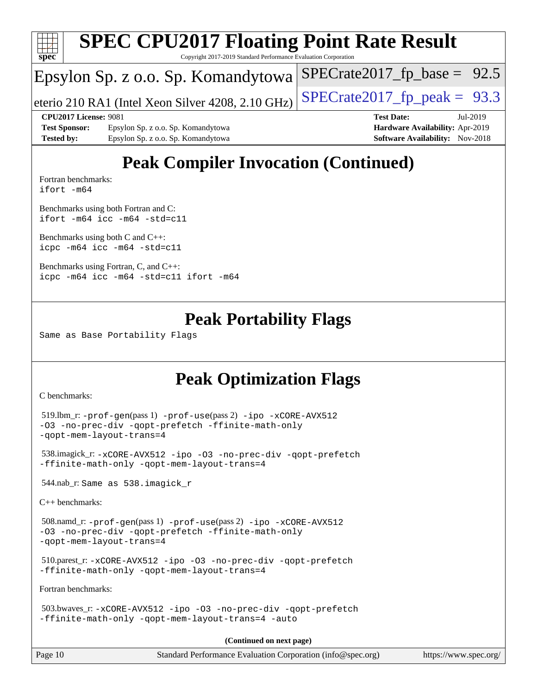

## **[Peak Compiler Invocation \(Continued\)](http://www.spec.org/auto/cpu2017/Docs/result-fields.html#PeakCompilerInvocation)**

[Fortran benchmarks](http://www.spec.org/auto/cpu2017/Docs/result-fields.html#Fortranbenchmarks): [ifort -m64](http://www.spec.org/cpu2017/results/res2019q3/cpu2017-20190722-16236.flags.html#user_FCpeak_intel_ifort_64bit_24f2bb282fbaeffd6157abe4f878425411749daecae9a33200eee2bee2fe76f3b89351d69a8130dd5949958ce389cf37ff59a95e7a40d588e8d3a57e0c3fd751)

[Benchmarks using both Fortran and C](http://www.spec.org/auto/cpu2017/Docs/result-fields.html#BenchmarksusingbothFortranandC): [ifort -m64](http://www.spec.org/cpu2017/results/res2019q3/cpu2017-20190722-16236.flags.html#user_CC_FCpeak_intel_ifort_64bit_24f2bb282fbaeffd6157abe4f878425411749daecae9a33200eee2bee2fe76f3b89351d69a8130dd5949958ce389cf37ff59a95e7a40d588e8d3a57e0c3fd751) [icc -m64 -std=c11](http://www.spec.org/cpu2017/results/res2019q3/cpu2017-20190722-16236.flags.html#user_CC_FCpeak_intel_icc_64bit_c11_33ee0cdaae7deeeab2a9725423ba97205ce30f63b9926c2519791662299b76a0318f32ddfffdc46587804de3178b4f9328c46fa7c2b0cd779d7a61945c91cd35)

[Benchmarks using both C and C++](http://www.spec.org/auto/cpu2017/Docs/result-fields.html#BenchmarksusingbothCandCXX): [icpc -m64](http://www.spec.org/cpu2017/results/res2019q3/cpu2017-20190722-16236.flags.html#user_CC_CXXpeak_intel_icpc_64bit_4ecb2543ae3f1412ef961e0650ca070fec7b7afdcd6ed48761b84423119d1bf6bdf5cad15b44d48e7256388bc77273b966e5eb805aefd121eb22e9299b2ec9d9) [icc -m64 -std=c11](http://www.spec.org/cpu2017/results/res2019q3/cpu2017-20190722-16236.flags.html#user_CC_CXXpeak_intel_icc_64bit_c11_33ee0cdaae7deeeab2a9725423ba97205ce30f63b9926c2519791662299b76a0318f32ddfffdc46587804de3178b4f9328c46fa7c2b0cd779d7a61945c91cd35)

[Benchmarks using Fortran, C, and C++:](http://www.spec.org/auto/cpu2017/Docs/result-fields.html#BenchmarksusingFortranCandCXX) [icpc -m64](http://www.spec.org/cpu2017/results/res2019q3/cpu2017-20190722-16236.flags.html#user_CC_CXX_FCpeak_intel_icpc_64bit_4ecb2543ae3f1412ef961e0650ca070fec7b7afdcd6ed48761b84423119d1bf6bdf5cad15b44d48e7256388bc77273b966e5eb805aefd121eb22e9299b2ec9d9) [icc -m64 -std=c11](http://www.spec.org/cpu2017/results/res2019q3/cpu2017-20190722-16236.flags.html#user_CC_CXX_FCpeak_intel_icc_64bit_c11_33ee0cdaae7deeeab2a9725423ba97205ce30f63b9926c2519791662299b76a0318f32ddfffdc46587804de3178b4f9328c46fa7c2b0cd779d7a61945c91cd35) [ifort -m64](http://www.spec.org/cpu2017/results/res2019q3/cpu2017-20190722-16236.flags.html#user_CC_CXX_FCpeak_intel_ifort_64bit_24f2bb282fbaeffd6157abe4f878425411749daecae9a33200eee2bee2fe76f3b89351d69a8130dd5949958ce389cf37ff59a95e7a40d588e8d3a57e0c3fd751)

## **[Peak Portability Flags](http://www.spec.org/auto/cpu2017/Docs/result-fields.html#PeakPortabilityFlags)**

Same as Base Portability Flags

## **[Peak Optimization Flags](http://www.spec.org/auto/cpu2017/Docs/result-fields.html#PeakOptimizationFlags)**

[C benchmarks](http://www.spec.org/auto/cpu2017/Docs/result-fields.html#Cbenchmarks):

```
Page 10 Standard Performance Evaluation Corporation (info@spec.org) https://www.spec.org/
  519.lbm_r: -prof-gen(pass 1) -prof-use(pass 2) -ipo -xCORE-AVX512
-O3 -no-prec-div -qopt-prefetch -ffinite-math-only
-qopt-mem-layout-trans=4
  538.imagick_r: -xCORE-AVX512 -ipo -O3 -no-prec-div -qopt-prefetch
-ffinite-math-only -qopt-mem-layout-trans=4
  544.nab_r: Same as 538.imagick_r
C++ benchmarks: 
  508.namd_r: -prof-gen(pass 1) -prof-use(pass 2) -ipo -xCORE-AVX512
-O3 -no-prec-div -qopt-prefetch -ffinite-math-only
-qopt-mem-layout-trans=4
  510.parest_r: -xCORE-AVX512 -ipo -O3 -no-prec-div -qopt-prefetch
-ffinite-math-only -qopt-mem-layout-trans=4
Fortran benchmarks: 
  503.bwaves_r: -xCORE-AVX512 -ipo -O3 -no-prec-div -qopt-prefetch
-ffinite-math-only -qopt-mem-layout-trans=4 -auto
                                       (Continued on next page)
```